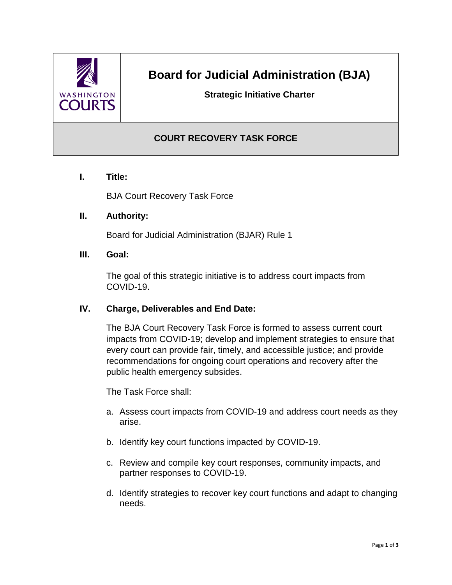

# **Board for Judicial Administration (BJA)**

## **Strategic Initiative Charter**

## **COURT RECOVERY TASK FORCE**

**I. Title:**

BJA Court Recovery Task Force

#### **II. Authority:**

Board for Judicial Administration (BJAR) Rule 1

**III. Goal:**

The goal of this strategic initiative is to address court impacts from COVID-19.

#### **IV. Charge, Deliverables and End Date:**

The BJA Court Recovery Task Force is formed to assess current court impacts from COVID-19; develop and implement strategies to ensure that every court can provide fair, timely, and accessible justice; and provide recommendations for ongoing court operations and recovery after the public health emergency subsides.

The Task Force shall:

- a. Assess court impacts from COVID-19 and address court needs as they arise.
- b. Identify key court functions impacted by COVID-19.
- c. Review and compile key court responses, community impacts, and partner responses to COVID-19.
- d. Identify strategies to recover key court functions and adapt to changing needs.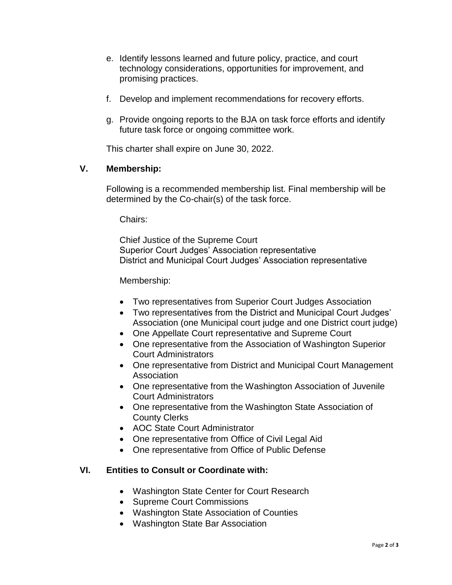- e. Identify lessons learned and future policy, practice, and court technology considerations, opportunities for improvement, and promising practices.
- f. Develop and implement recommendations for recovery efforts.
- g. Provide ongoing reports to the BJA on task force efforts and identify future task force or ongoing committee work.

This charter shall expire on June 30, 2022.

#### **V. Membership:**

Following is a recommended membership list. Final membership will be determined by the Co-chair(s) of the task force.

Chairs:

Chief Justice of the Supreme Court Superior Court Judges' Association representative District and Municipal Court Judges' Association representative

Membership:

- Two representatives from Superior Court Judges Association
- Two representatives from the District and Municipal Court Judges' Association (one Municipal court judge and one District court judge)
- One Appellate Court representative and Supreme Court
- One representative from the Association of Washington Superior Court Administrators
- One representative from District and Municipal Court Management Association
- One representative from the Washington Association of Juvenile Court Administrators
- One representative from the Washington State Association of County Clerks
- AOC State Court Administrator
- One representative from Office of Civil Legal Aid
- One representative from Office of Public Defense

#### **VI. Entities to Consult or Coordinate with:**

- Washington State Center for Court Research
- Supreme Court Commissions
- Washington State Association of Counties
- Washington State Bar Association